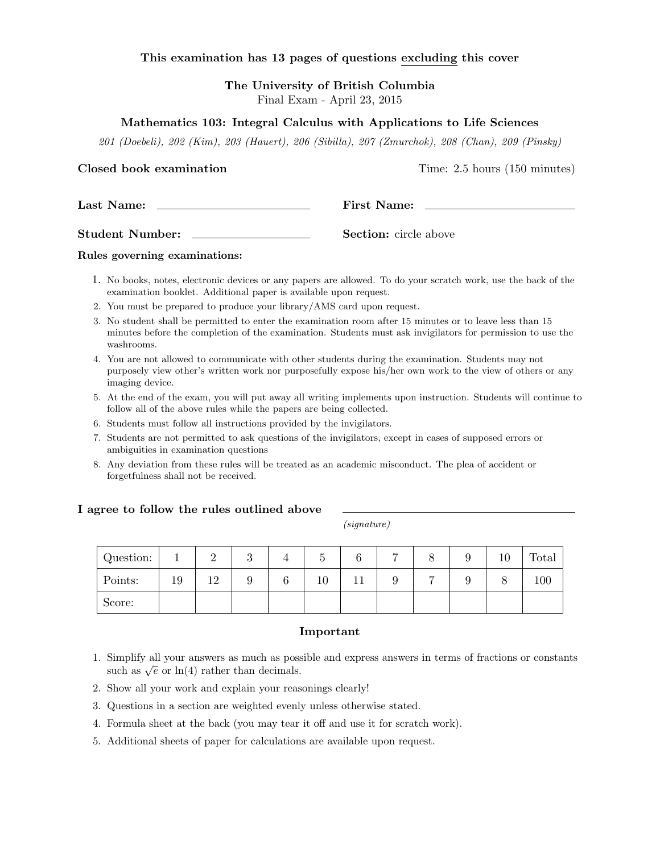### This examination has 13 pages of questions excluding this cover

The University of British Columbia Final Exam - April 23, 2015

#### Mathematics 103: Integral Calculus with Applications to Life Sciences

201 (Doebeli), 202 (Kim), 203 (Hauert), 206 (Sibilla), 207 (Zmurchok), 208 (Chan), 209 (Pinsky)

Closed book examination Time: 2.5 hours (150 minutes)

Last Name: First Name:

Student Number: Section: circle above

Rules governing examinations:

- 1. No books, notes, electronic devices or any papers are allowed. To do your scratch work, use the back of the examination booklet. Additional paper is available upon request.
- 2. You must be prepared to produce your library/AMS card upon request.
- 3. No student shall be permitted to enter the examination room after 15 minutes or to leave less than 15 minutes before the completion of the examination. Students must ask invigilators for permission to use the washrooms.
- 4. You are not allowed to communicate with other students during the examination. Students may not purposely view other's written work nor purposefully expose his/her own work to the view of others or any imaging device.
- 5. At the end of the exam, you will put away all writing implements upon instruction. Students will continue to follow all of the above rules while the papers are being collected.
- 6. Students must follow all instructions provided by the invigilators.
- 7. Students are not permitted to ask questions of the invigilators, except in cases of supposed errors or ambiguities in examination questions
- 8. Any deviation from these rules will be treated as an academic misconduct. The plea of accident or forgetfulness shall not be received.

#### I agree to follow the rules outlined above

(signature)

| Question: |    | ↵  | $\Omega$<br>◡ |   | ◡  | ◠<br>O | − |   | ΙU | Total |
|-----------|----|----|---------------|---|----|--------|---|---|----|-------|
| Points:   | 19 | 12 | ◡             | O | 10 | ᆠ      |   | ູ |    | 100   |
| Score:    |    |    |               |   |    |        |   |   |    |       |

#### Important

- 1. Simplify all your answers as much as possible and express answers in terms of fractions or constants sumpiny an your answers as much as poss<br>such as  $\sqrt{e}$  or  $\ln(4)$  rather than decimals.
- 2. Show all your work and explain your reasonings clearly!
- 3. Questions in a section are weighted evenly unless otherwise stated.
- 4. Formula sheet at the back (you may tear it off and use it for scratch work).
- 5. Additional sheets of paper for calculations are available upon request.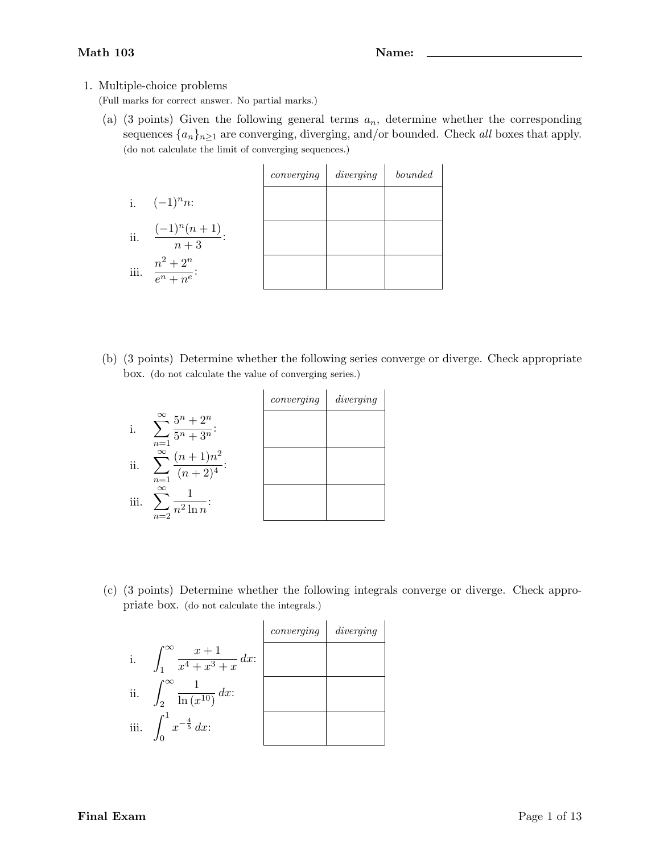# 1. Multiple-choice problems

(Full marks for correct answer. No partial marks.)

(a) (3 points) Given the following general terms  $a_n$ , determine whether the corresponding sequences  $\{a_n\}_{n\geq 1}$  are converging, diverging, and/or bounded. Check all boxes that apply. (do not calculate the limit of converging sequences.)

|      |                             | converging | diverging | bounded |
|------|-----------------------------|------------|-----------|---------|
|      | i. $(-1)^n n$ .             |            |           |         |
| ii.  | $\frac{(-1)^n(n+1)}{n+3}$ : |            |           |         |
| iii. | $\frac{n^2+2^n}{e^n+n^e}$ : |            |           |         |

(b) (3 points) Determine whether the following series converge or diverge. Check appropriate box. (do not calculate the value of converging series.)

|      |                                                            | converging | diverging |
|------|------------------------------------------------------------|------------|-----------|
| i.   | $\sum_{n=1}^{\infty} \frac{5^n + 2^n}{5^n + 3^n}.$         |            |           |
| ii.  | $\infty$<br>$\sum_{n=1}^{\infty} \frac{(n+1)n^2}{(n+2)^4}$ |            |           |
| iii. | $\infty$<br>$\sum \overline{n^2 \ln n}$<br>$n=2$           |            |           |

(c) (3 points) Determine whether the following integrals converge or diverge. Check appropriate box. (do not calculate the integrals.)

|     |                                                        | converging | diverging |
|-----|--------------------------------------------------------|------------|-----------|
| i.  | $\int_{1}^{\infty} \frac{x+1}{x^4+x^3+x} dx$           |            |           |
| ii. | $^{\circ}\infty$<br>$\int_2 \frac{1}{\ln (x^{10})} dx$ |            |           |
|     | iii. $\int_{}^{1} x^{-\frac{4}{5}} dx$ :               |            |           |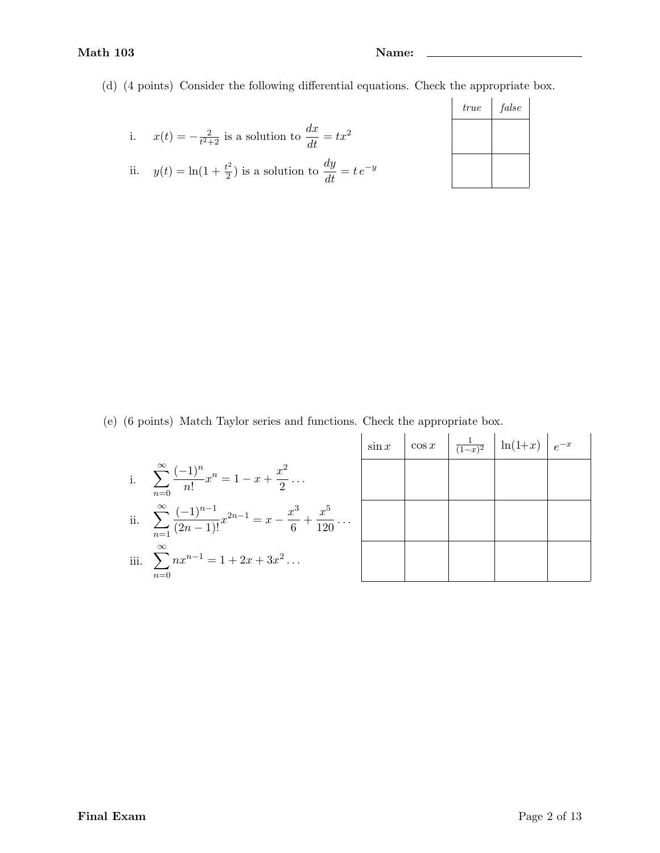(d) (4 points) Consider the following differential equations. Check the appropriate box.

|                                                                                | $true \mid false \mid$ |  |
|--------------------------------------------------------------------------------|------------------------|--|
| i. $x(t) = -\frac{2}{t^2+2}$ is a solution to $\frac{dx}{dt} = tx^2$           |                        |  |
| ii. $y(t) = \ln(1 + \frac{t^2}{2})$ is a solution to $\frac{dy}{dt} = te^{-y}$ |                        |  |

(e) (6 points) Match Taylor series and functions. Check the appropriate box.

| $\sum_{n=0}^{\infty} \frac{(-1)^n}{n!} x^n = 1 - x + \frac{x^2}{2} \dots$                                  |
|------------------------------------------------------------------------------------------------------------|
| $\sum_{n=1}^{\infty} \frac{(-1)^{n-1}}{(2n-1)!} x^{2n-1} = x - \frac{x^3}{6} + \frac{x^5}{120} \dots$<br>∞ |

iii. 
$$
\sum_{n=0} n x^{n-1} = 1 + 2x + 3x^2 \dots
$$

| $\sin x$ |  | $\cos x \left[ \frac{1}{(1-x)^2} \right] \ln(1+x) \left[ e^{-x} \right]$ |  |
|----------|--|--------------------------------------------------------------------------|--|
|          |  |                                                                          |  |
|          |  |                                                                          |  |
|          |  |                                                                          |  |
|          |  |                                                                          |  |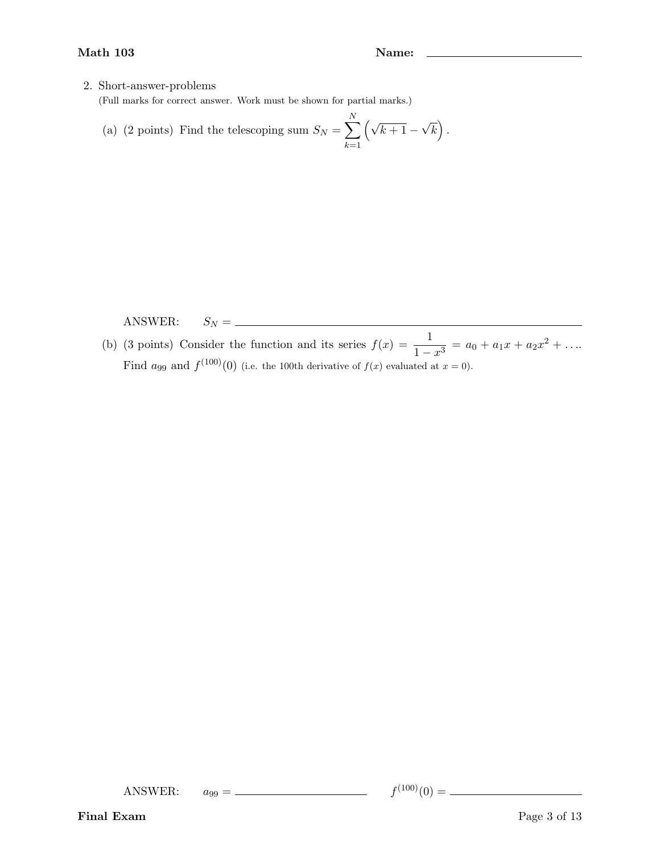# 2. Short-answer-problems

(Full marks for correct answer. Work must be shown for partial marks.)

(a) (2 points) Find the telescoping sum 
$$
S_N = \sum_{k=1}^N (\sqrt{k+1} - \sqrt{k})
$$
.

ANSWER: S<sup>N</sup> =

(b) (3 points) Consider the function and its series  $f(x) = \frac{1}{1-x^3} = a_0 + a_1x + a_2x^2 + \dots$ Find  $a_{99}$  and  $f^{(100)}(0)$  (i.e. the 100th derivative of  $f(x)$  evaluated at  $x = 0$ ).

ANSWER:  $a_{99} = \_$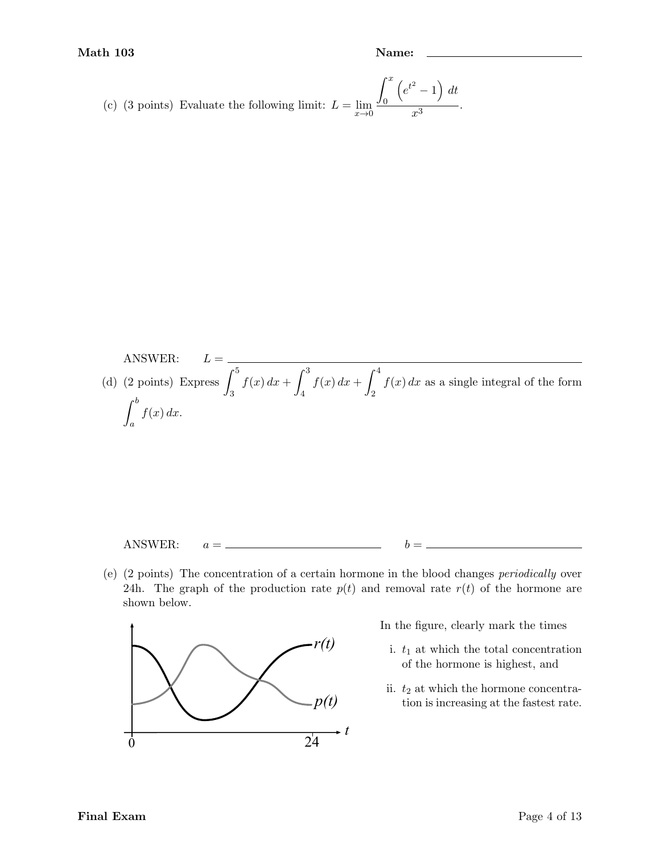(c) (3 points) Evaluate the following limit: 
$$
L = \lim_{x \to 0} \frac{\int_0^x (e^{t^2} - 1) dt}{x^3}.
$$

ANSWER: 
$$
L = \frac{1}{\int_{3}^{5} f(x) dx + \int_{4}^{3} f(x) dx + \int_{2}^{4} f(x) dx}
$$
 as a single integral of the form 
$$
\int_{a}^{b} f(x) dx.
$$

### ANSWER:  $a = \underline{\hspace{1cm}} \qquad b =$

(e) (2 points) The concentration of a certain hormone in the blood changes periodically over 24h. The graph of the production rate  $p(t)$  and removal rate  $r(t)$  of the hormone are shown below.



In the figure, clearly mark the times

- i.  $t_1$  at which the total concentration of the hormone is highest, and
- ii.  $t_2$  at which the hormone concentration is increasing at the fastest rate.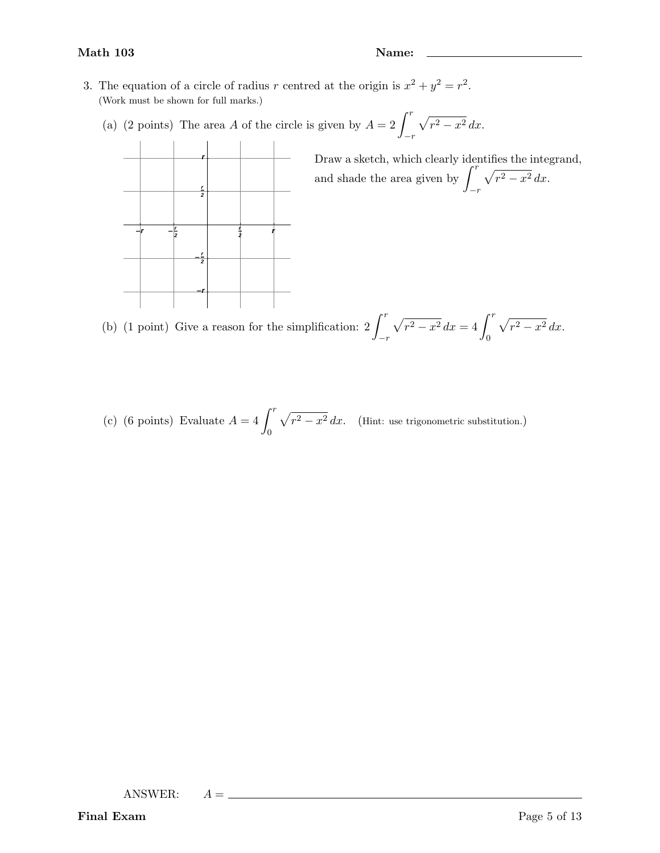- 3. The equation of a circle of radius r centred at the origin is  $x^2 + y^2 = r^2$ . (Work must be shown for full marks.)
	- (a) (2 points) The area A of the circle is given by  $A = 2 \int_0^r$  $-r$  $\sqrt{r^2-x^2} dx$ .



Draw a sketch, which clearly identifies the integrand, and shade the area given by  $\int_0^r$  $-r$  $\sqrt{r^2-x^2} dx$ .

(b) (1 point) Give a reason for the simplification:  $2 \int_0^r$  $-r$  $\sqrt{r^2 - x^2} \, dx = 4 \int_0^r$ 0  $\sqrt{r^2-x^2} dx$ .

(c) (6 points) Evaluate  $A = 4 \int_0^r$ 0  $\sqrt{r^2 - x^2} dx$ . (Hint: use trigonometric substitution.)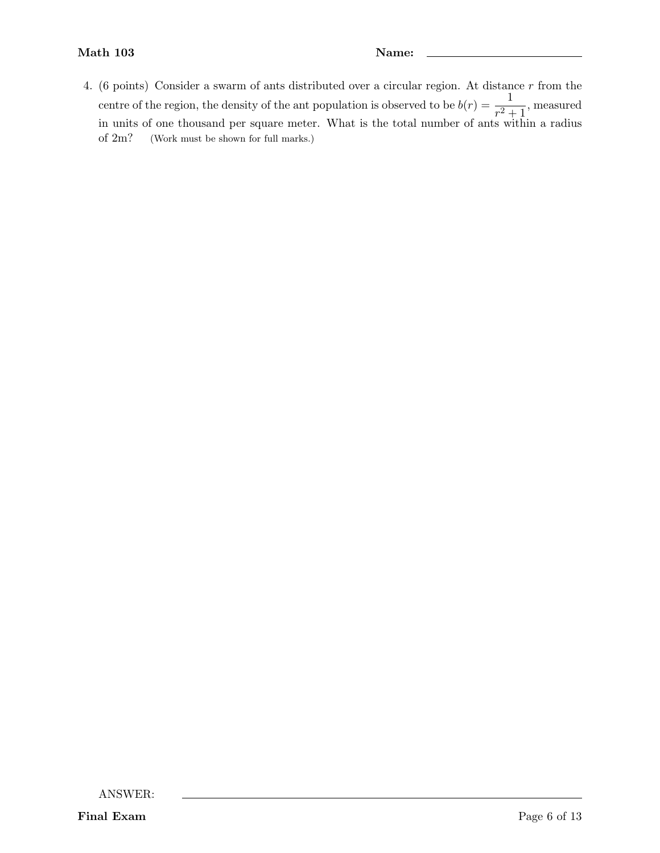4. (6 points) Consider a swarm of ants distributed over a circular region. At distance r from the centre of the region, the density of the ant population is observed to be  $b(r) = \frac{1}{r^2 + 1}$ , measured in units of one thousand per square meter. What is the total number of ants within a radius of 2m? (Work must be shown for full marks.)

ANSWER:

Final Exam Page 6 of 13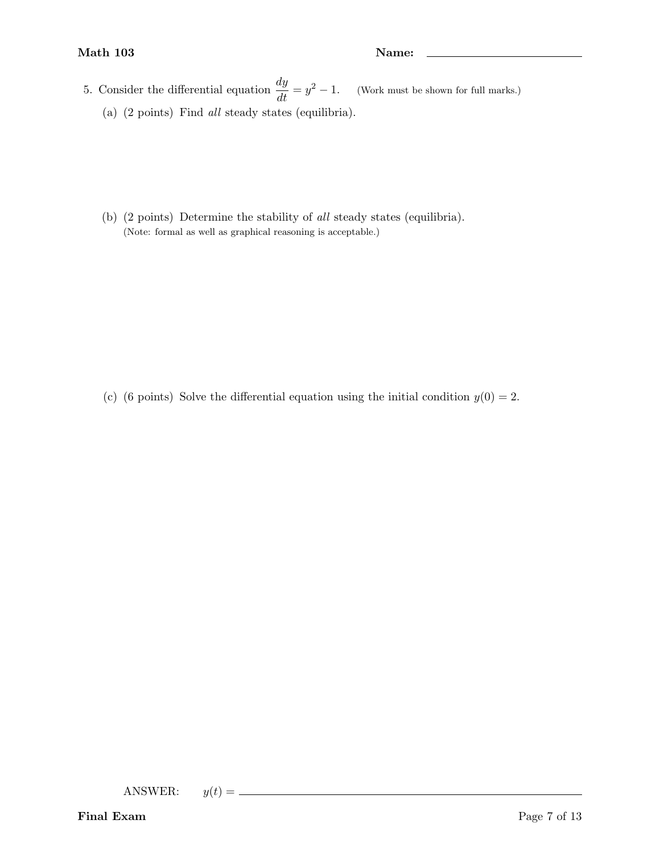5. Consider the differential equation  $\frac{dy}{dt} = y^2 - 1$ . (Work must be shown for full marks.) (a) (2 points) Find all steady states (equilibria).

(b) (2 points) Determine the stability of all steady states (equilibria). (Note: formal as well as graphical reasoning is acceptable.)

(c) (6 points) Solve the differential equation using the initial condition  $y(0) = 2$ .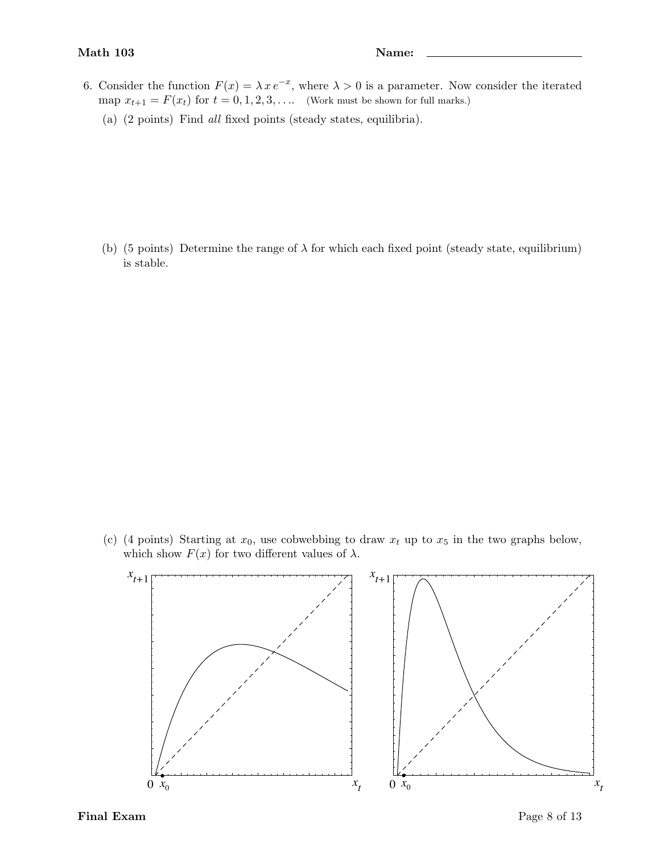- 6. Consider the function  $F(x) = \lambda x e^{-x}$ , where  $\lambda > 0$  is a parameter. Now consider the iterated map  $x_{t+1} = F(x_t)$  for  $t = 0, 1, 2, 3, \ldots$  (Work must be shown for full marks.)
	- (a) (2 points) Find all fixed points (steady states, equilibria).

(b) (5 points) Determine the range of  $\lambda$  for which each fixed point (steady state, equilibrium) is stable.

(c) (4 points) Starting at  $x_0$ , use cobwebbing to draw  $x_t$  up to  $x_5$  in the two graphs below, which show  $F(x)$  for two different values of  $\lambda$ .

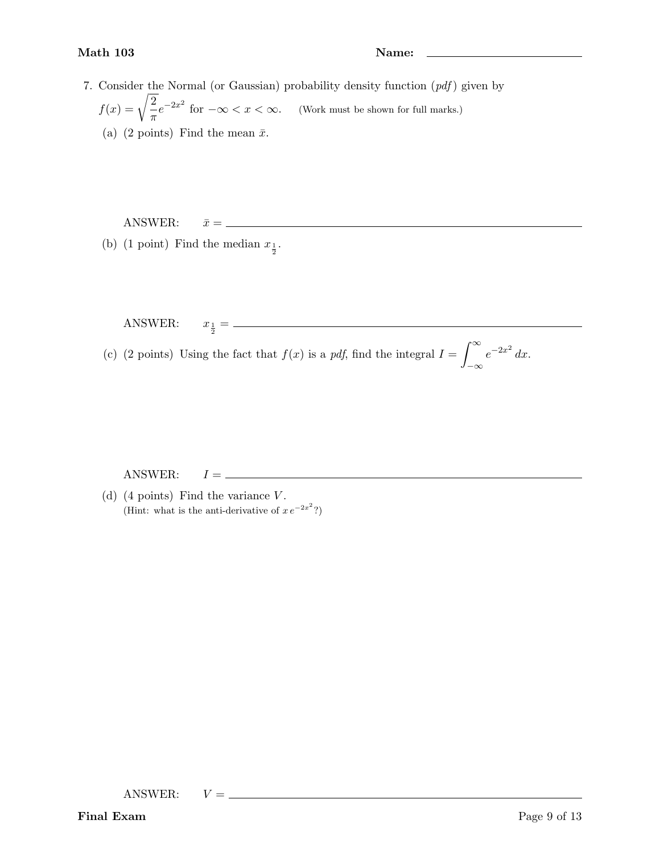7. Consider the Normal (or Gaussian) probability density function  $(pdf)$  given by  $f(x) = \sqrt{\frac{2}{x}}$  $\frac{2}{\pi}e^{-2x^2}$  for  $-\infty < x < \infty$ . (Work must be shown for full marks.) (a) (2 points) Find the mean  $\bar{x}$ .

ANSWER: ¯x =

(b) (1 point) Find the median  $x_{\frac{1}{2}}$ .

ANSWER:  $\frac{1}{2}$  =

(c) (2 points) Using the fact that  $f(x)$  is a pdf, find the integral  $I = \int_{-\infty}^{\infty}$ −∞  $e^{-2x^2} dx$ .

 $ANSWER: I = \n $\frac{I}{I} = \n\frac{I}{I} = \n\frac{I}{I} = \n\frac{I}{I} = \n\frac{I}{I} = \n\frac{I}{I} = \n\frac{I}{I} = \n\frac{I}{I} = \n\frac{I}{I} = \n\frac{I}{I} = \n\frac{I}{I} = \n\frac{I}{I} = \n\frac{I}{I} = \n\frac{I}{I} = \n\frac{I}{I} = \n\frac{I}{I} = \n\frac{I}{I} = \n\frac{I}{I} = \n\frac{I}{I} = \n\frac{I}{I} = \n\frac{I}{I} = \n\$$ 

(d)  $(4 \text{ points})$  Find the variance  $V$ . (Hint: what is the anti-derivative of  $xe^{-2x^2}$ ?)

ANSWER:  $V =$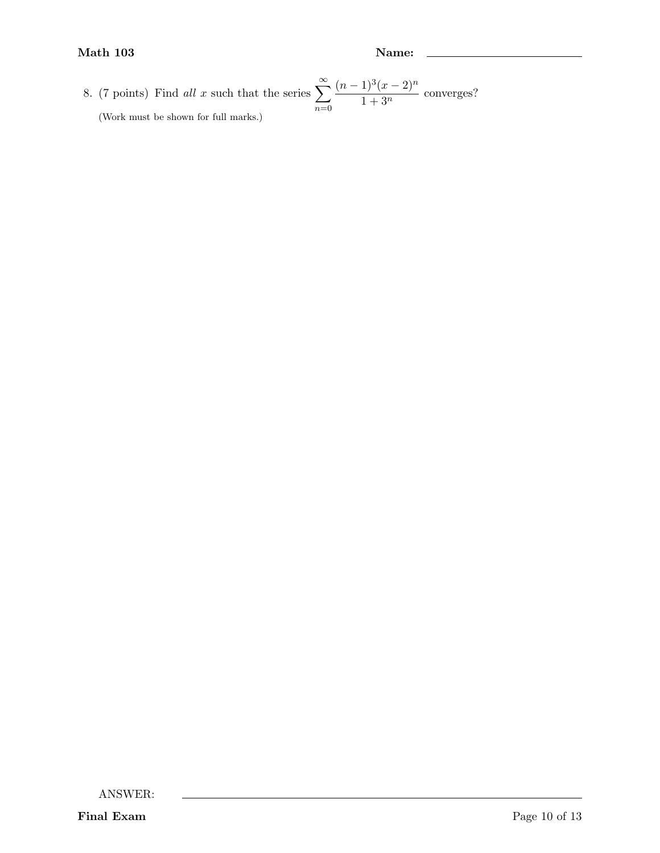8. (7 points) Find all x such that the series  $\sum_{n=1}^{\infty}$  $n=0$  $(n-1)^3(x-2)^n$  $\frac{1}{1+3^n}$  converges? (Work must be shown for full marks.)

ANSWER:

Final Exam Page 10 of 13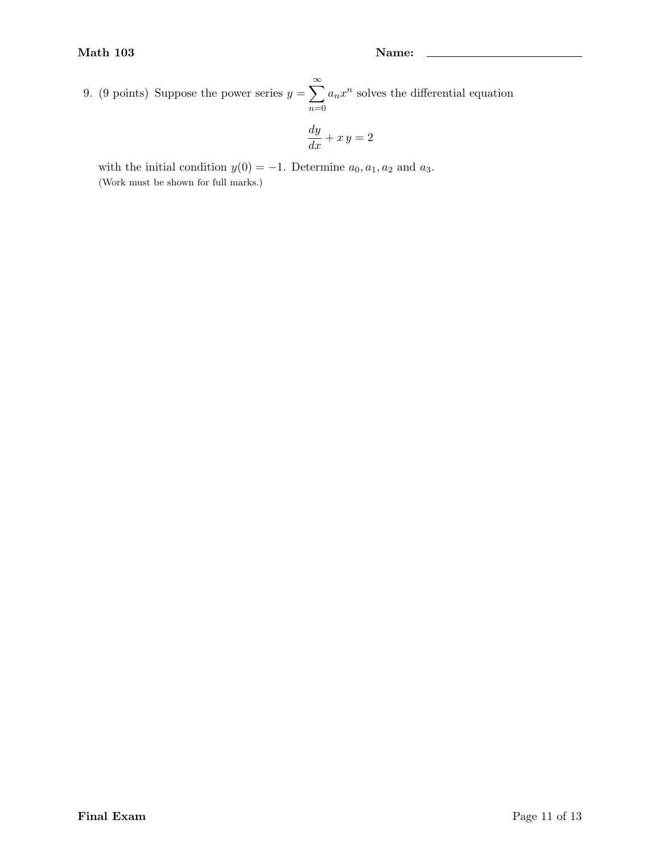9. (9 points) Suppose the power series  $y = \sum_{n=1}^{\infty}$  $n=0$  $a_n x^n$  solves the differential equation

$$
\frac{dy}{dx} + x y = 2
$$

with the initial condition  $y(0) = -1$ . Determine  $a_0, a_1, a_2$  and  $a_3$ . (Work must be shown for full marks.)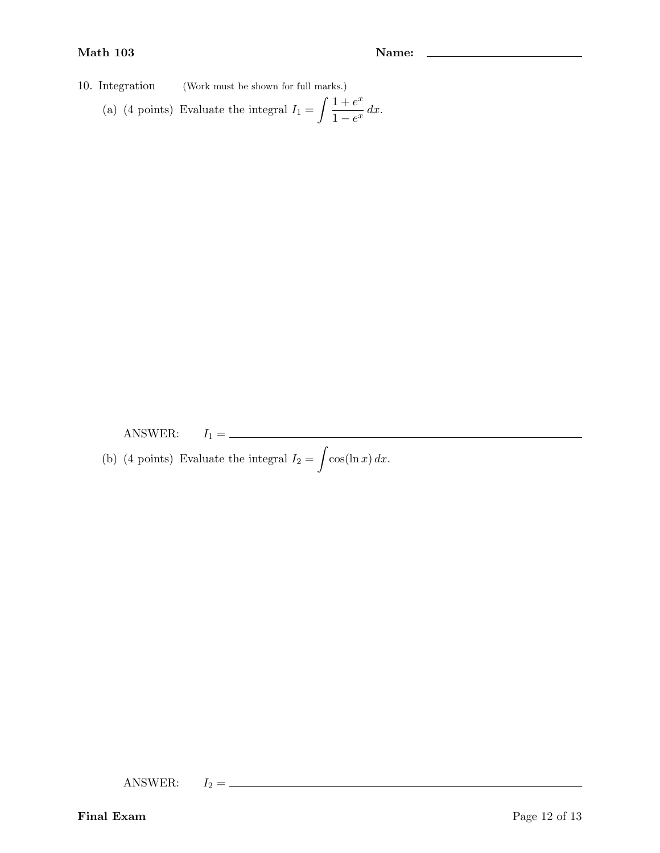- 10. Integration (Work must be shown for full marks.)
	- (a) (4 points) Evaluate the integral  $I_1 = \int \frac{1+e^x}{1-e^x}$  $\frac{1+e}{1-e^x} dx.$

ANSWER:  $I_1 = \_$ 

(b) (4 points) Evaluate the integral  $I_2 = \int \cos(\ln x) dx$ .

ANSWER: I<sup>2</sup> =